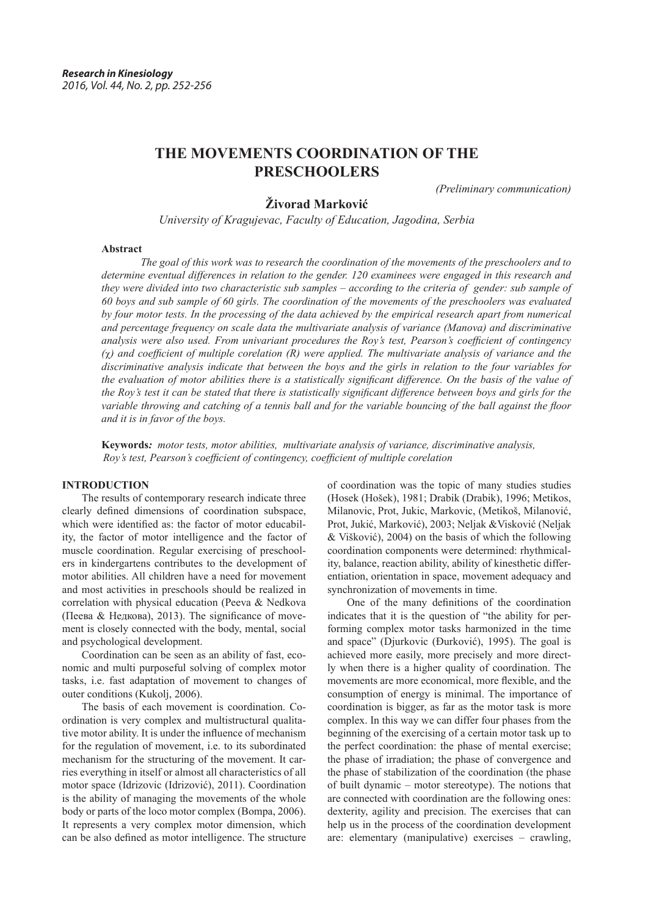# **THE MOVEMENTS COORDINATION OF THE PRESCHOOLERS**

*(Preliminary communication)*

# **Živorad Marković**

*University of Kragujevac, Faculty of Education, Jagodina, Serbia*

#### **Abstract**

*The goal of this work was to research the coordination of the movements of the preschoolers and to determine eventual differences in relation to the gender. 120 examinees were engaged in this research and they were divided into two characteristic sub samples – according to the criteria of gender: sub sample of 60 boys and sub sample of 60 girls. The coordination of the movements of the preschoolers was evaluated by four motor tests. In the processing of the data achieved by the empirical research apart from numerical and percentage frequency on scale data the multivariate analysis of variance (Manova) and discriminative analysis were also used. From univariant procedures the Roy's test, Pearson's coefficient of contingency*   $(\gamma)$  and coefficient of multiple corelation  $(R)$  were applied. The multivariate analysis of variance and the *discriminative analysis indicate that between the boys and the girls in relation to the four variables for the evaluation of motor abilities there is a statistically significant difference. On the basis of the value of the Roy's test it can be stated that there is statistically significant difference between boys and girls for the variable throwing and catching of a tennis ball and for the variable bouncing of the ball against the floor and it is in favor of the boys.*

**Keywords***: motor tests, motor abilities, multivariate analysis of variance, discriminative analysis, Roy's test, Pearson's coefficient of contingency, coefficient of multiple corelation*

## **INTRODUCTION**

The results of contemporary research indicate three clearly defined dimensions of coordination subspace, which were identified as: the factor of motor educability, the factor of motor intelligence and the factor of muscle coordination. Regular exercising of preschoolers in kindergartens contributes to the development of motor abilities. All children have a need for movement and most activities in preschools should be realized in correlation with physical education (Peeva & Nedkova (Пеева & Недкова), 2013). The significance of movement is closely connected with the body, mental, social and psychological development.

Coordination can be seen as an ability of fast, economic and multi purposeful solving of complex motor tasks, i.e. fast adaptation of movement to changes of outer conditions (Kukolj, 2006).

The basis of each movement is coordination. Coordination is very complex and multistructural qualitative motor ability. It is under the influence of mechanism for the regulation of movement, i.e. to its subordinated mechanism for the structuring of the movement. It carries everything in itself or almost all characteristics of all motor space (Idrizovic (Idrizović), 2011). Coordination is the ability of managing the movements of the whole body or parts of the loco motor complex (Bompa, 2006). It represents a very complex motor dimension, which can be also defined as motor intelligence. The structure of coordination was the topic of many studies studies (Hosek (Hošek), 1981; Drabik (Drabik), 1996; Metikos, Milanovic, Prot, Jukic, Markovic, (Metikoš, Milanović, Prot, Jukić, Marković), 2003; Neljak &Visković (Neljak & Višković), 2004) on the basis of which the following coordination components were determined: rhythmicality, balance, reaction ability, ability of kinesthetic differentiation, orientation in space, movement adequacy and synchronization of movements in time.

One of the many definitions of the coordination indicates that it is the question of "the ability for performing complex motor tasks harmonized in the time and space" (Djurkovic (Đurković), 1995). The goal is achieved more easily, more precisely and more directly when there is a higher quality of coordination. The movements are more economical, more flexible, and the consumption of energy is minimal. The importance of coordination is bigger, as far as the motor task is more complex. In this way we can differ four phases from the beginning of the exercising of a certain motor task up to the perfect coordination: the phase of mental exercise; the phase of irradiation; the phase of convergence and the phase of stabilization of the coordination (the phase of built dynamic – motor stereotype). The notions that are connected with coordination are the following ones: dexterity, agility and precision. The exercises that can help us in the process of the coordination development are: elementary (manipulative) exercises – crawling,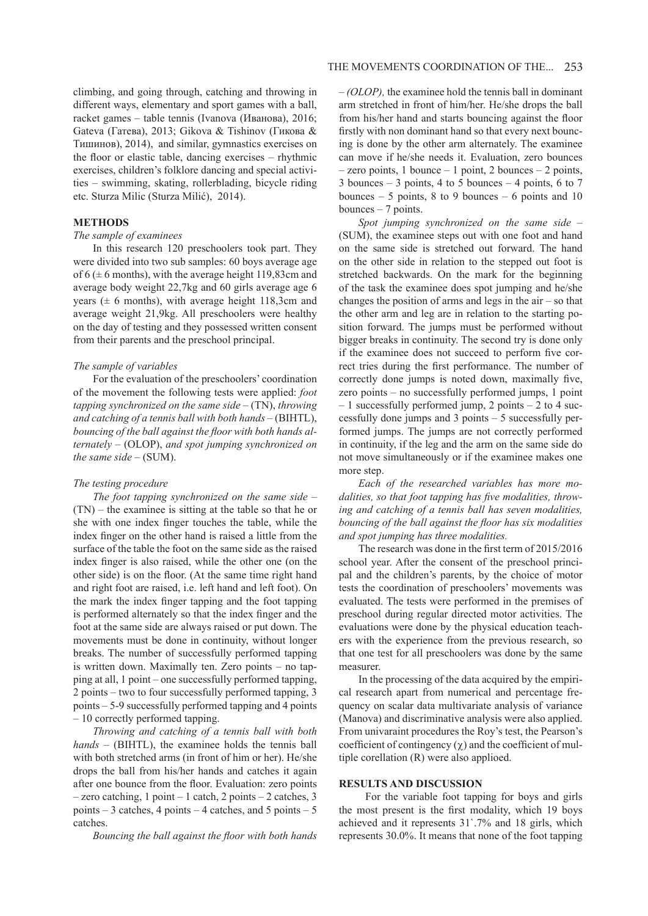climbing, and going through, catching and throwing in different ways, elementary and sport games with a ball, racket games – table tennis (Ivanova (Иванова), 2016; Gateva (Гатева), 2013; Gikova & Tishinov (Гикова & Тишинов), 2014), and similar, gymnastics exercises on the floor or elastic table, dancing exercises – rhythmic exercises, children's folklore dancing and special activities – swimming, skating, rollerblading, bicycle riding etc. Sturza Milic (Sturza Milić), 2014).

#### **METHODS**

## *The sample of examinees*

In this research 120 preschoolers took part. They were divided into two sub samples: 60 boys average age of  $6$  ( $\pm$  6 months), with the average height 119,83cm and average body weight 22,7kg and 60 girls average age 6 years ( $\pm$  6 months), with average height 118,3cm and average weight 21,9kg. All preschoolers were healthy on the day of testing and they possessed written consent from their parents and the preschool principal.

#### *The sample of variables*

For the evaluation of the preschoolers' coordination of the movement the following tests were applied: *foot tapping synchronized on the same side* – (TN), *throwing and catching of a tennis ball with both hands* – (BIHTL), *bouncing of the ball against the floor with both hands alternately* – (OLOP), *and spot jumping synchronized on the same side* – (SUM).

#### *The testing procedure*

*The foot tapping synchronized on the same side* – (TN) – the examinee is sitting at the table so that he or she with one index finger touches the table, while the index finger on the other hand is raised a little from the surface of the table the foot on the same side as the raised index finger is also raised, while the other one (on the other side) is on the floor. (At the same time right hand and right foot are raised, i.e. left hand and left foot). On the mark the index finger tapping and the foot tapping is performed alternately so that the index finger and the foot at the same side are always raised or put down. The movements must be done in continuity, without longer breaks. The number of successfully performed tapping is written down. Maximally ten. Zero points – no tapping at all, 1 point – one successfully performed tapping, 2 points – two to four successfully performed tapping, 3 points – 5-9 successfully performed tapping and 4 points – 10 correctly performed tapping.

*Throwing and catching of a tennis ball with both hands* – (BIHTL), the examinee holds the tennis ball with both stretched arms (in front of him or her). He/she drops the ball from his/her hands and catches it again after one bounce from the floor. Evaluation: zero points  $-$  zero catching, 1 point  $-$  1 catch, 2 points  $-$  2 catches, 3 points  $-3$  catches, 4 points  $-4$  catches, and 5 points  $-5$ catches.

*Bouncing the ball against the floor with both hands* 

*– (OLOP),* the examinee hold the tennis ball in dominant arm stretched in front of him/her. He/she drops the ball from his/her hand and starts bouncing against the floor firstly with non dominant hand so that every next bouncing is done by the other arm alternately. The examinee can move if he/she needs it. Evaluation, zero bounces  $-$  zero points, 1 bounce  $-$  1 point, 2 bounces  $-$  2 points,  $3$  bounces – 3 points, 4 to 5 bounces – 4 points, 6 to 7 bounces  $-5$  points, 8 to 9 bounces  $-6$  points and 10 bounces – 7 points.

*Spot jumping synchronized on the same side* – (SUM), the examinee steps out with one foot and hand on the same side is stretched out forward. The hand on the other side in relation to the stepped out foot is stretched backwards. On the mark for the beginning of the task the examinee does spot jumping and he/she changes the position of arms and legs in the  $air - so$  that the other arm and leg are in relation to the starting position forward. The jumps must be performed without bigger breaks in continuity. The second try is done only if the examinee does not succeed to perform five correct tries during the first performance. The number of correctly done jumps is noted down, maximally five, zero points – no successfully performed jumps, 1 point – 1 successfully performed jump, 2 points – 2 to 4 successfully done jumps and 3 points – 5 successfully performed jumps. The jumps are not correctly performed in continuity, if the leg and the arm on the same side do not move simultaneously or if the examinee makes one more step.

*Each of the researched variables has more modalities, so that foot tapping has five modalities, throwing and catching of a tennis ball has seven modalities, bouncing of the ball against the floor has six modalities and spot jumping has three modalities.*

The research was done in the first term of 2015/2016 school year. After the consent of the preschool principal and the children's parents, by the choice of motor tests the coordination of preschoolers' movements was evaluated. The tests were performed in the premises of preschool during regular directed motor activities. The evaluations were done by the physical education teachers with the experience from the previous research, so that one test for all preschoolers was done by the same measurer.

In the processing of the data acquired by the empirical research apart from numerical and percentage frequency on scalar data multivariate analysis of variance (Manova) and discriminative analysis were also applied. From univaraint procedures the Roy's test, the Pearson's coefficient of contingency  $(y)$  and the coefficient of multiple corellation (R) were also applioed.

#### **RESULTS AND DISCUSSION**

 For the variable foot tapping for boys and girls the most present is the first modality, which 19 boys achieved and it represents 31`.7% and 18 girls, which represents 30.0%. It means that none of the foot tapping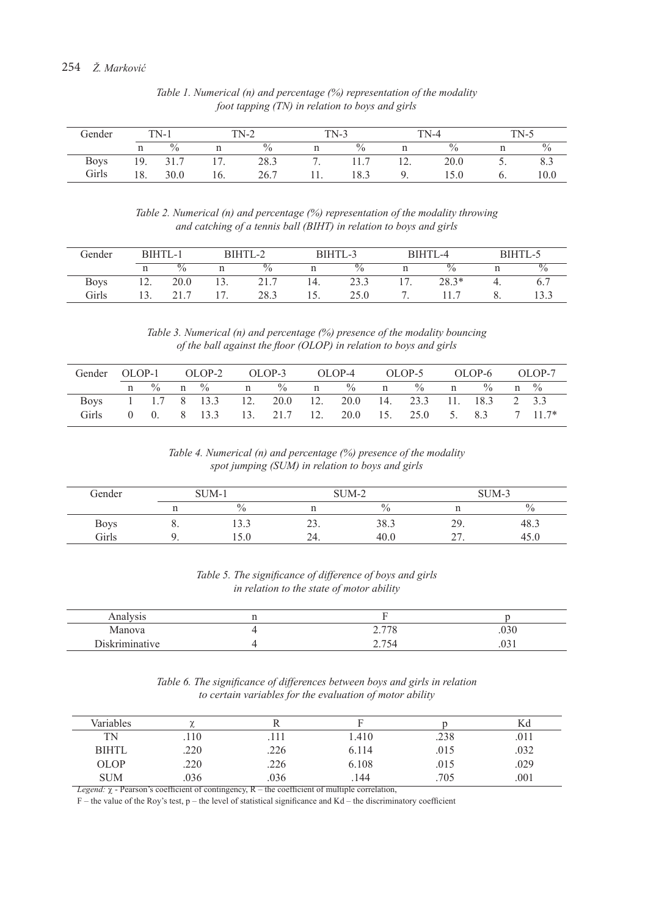| Gender      |     | $TN-1$ |     | $TN-2$ | $TN-3$ |                    |     | $TN-4$        |          | $TN-5$        |
|-------------|-----|--------|-----|--------|--------|--------------------|-----|---------------|----------|---------------|
|             |     | $\%$   |     | $\%$   |        | $\mathbf{0}$<br>70 |     | $\frac{0}{0}$ |          | $\frac{0}{0}$ |
| <b>Boys</b> | 19. | 31.7   |     | 28.3   | . .    | 11.                | 1/2 | 20.0          | <u>.</u> | 8.9           |
| Girls       | 18. | 30.0   | 16. | 26.7   |        | 18.3               |     | 15.0          | υ.       | 10.0          |

*Table 1. Numerical (n) and percentage (%) representation of the modality foot tapping (TN) in relation to boys and girls*

*Table 2. Numerical (n) and percentage (%) representation of the modality throwing and catching of a tennis ball (BIHT) in relation to boys and girls*

| Gender      |     | BIHTL-1       |     | BIHTL-2       |  | BIHTL-3       |  | BIHTL-4       |  | BIHTL-5       |  |
|-------------|-----|---------------|-----|---------------|--|---------------|--|---------------|--|---------------|--|
|             |     | $\frac{0}{0}$ |     | $\frac{0}{0}$ |  | $\frac{0}{0}$ |  | $\frac{0}{0}$ |  | $\frac{0}{0}$ |  |
| <b>Boys</b> | 12. | 20.0          | 13. | 21.7          |  | 23.3          |  | $28.3*$       |  |               |  |
| Girls       |     |               |     | 28.3          |  | 25.0          |  |               |  |               |  |

*Table 3. Numerical (n) and percentage (%) presence of the modality bouncing of the ball against the floor (OLOP) in relation to boys and girls*

| Gender OLOP-1 OLOP-2 OLOP-3 OLOP-4 OLOP-5 OLOP-6 OLOP-7 |  |                                                             |  |  |  |  |  |
|---------------------------------------------------------|--|-------------------------------------------------------------|--|--|--|--|--|
|                                                         |  | n % n % n % n % n % n % n %                                 |  |  |  |  |  |
|                                                         |  | Boys 1 1.7 8 13.3 12 20.0 12 20.0 14 23.3 11 18.3 2 3.3     |  |  |  |  |  |
|                                                         |  | Girls 0 0, 8 13.3 13, 21.7 12, 20.0 15, 25.0 5, 8.3 7 11.7* |  |  |  |  |  |

*Table 4. Numerical (n) and percentage (%) presence of the modality spot jumping (SUM) in relation to boys and girls*

| Gender      |    | SUM-1         |     | SUM-2 | SUM-3       |               |
|-------------|----|---------------|-----|-------|-------------|---------------|
|             |    | $\frac{0}{0}$ |     | 70    |             | $\frac{0}{0}$ |
| <b>Boys</b> | o. | ر . ب         | . ب | 38.3  | 29.         | دُ.48         |
| Girls       |    |               | 24. | 40.0  | $\sim$<br>~ | 45.0          |

*Table 5. The significance of difference of boys and girls in relation to the state of motor ability*

| Analysis       |                                             |                                          |
|----------------|---------------------------------------------|------------------------------------------|
| Manova         | 270<br>$\sqrt{6}$<br>$\sim$ $\cdot$ $\cdot$ | $\sim$ $\sim$<br>.usu                    |
| Diskriminative | 75.<br>، ، ،                                | $\sim$ $\sim$<br>$\cdot$ $\circ$ $\cdot$ |

*Table 6. The significance of differences between boys and girls in relation to certain variables for the evaluation of motor ability*

| Variables    | ∼    |      |       |      | Κd   |
|--------------|------|------|-------|------|------|
| TN           | .110 | 11   | .410  | .238 | .011 |
| <b>BIHTL</b> | .220 | .226 | 6.114 | .015 | .032 |
| OLOP         | .220 | .226 | 6.108 | .015 | .029 |
| <b>SUM</b>   | 036  | .036 | .144  | .705 | .001 |

*Legend:*  $\chi$  - Pearson's coefficient of contingency, R – the coefficient of multiple correlation,

F – the value of the Roy's test, p – the level of statistical significance and Kd – the discriminatory coefficient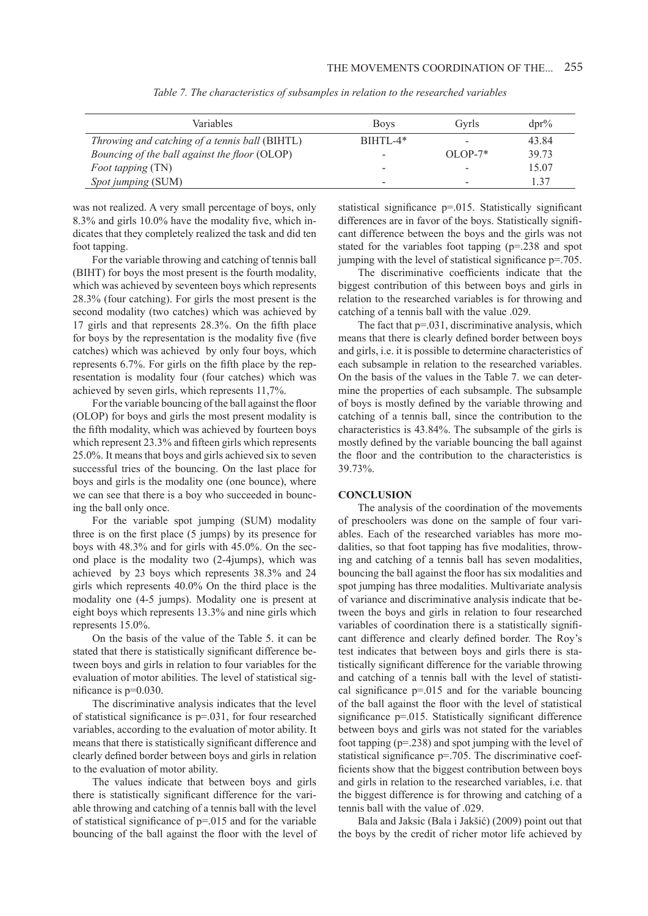| <b>Variables</b>                               | <b>Boys</b>              | Gyrls     | $dpr\%$ |
|------------------------------------------------|--------------------------|-----------|---------|
| Throwing and catching of a tennis ball (BIHTL) | $BIHTI -4*$              | -         | 43.84   |
| Bouncing of the ball against the floor (OLOP)  | -                        | $OLOP-7*$ | 39.73   |
| <i>Foot tapping</i> (TN)                       | -                        | -         | 15.07   |
| Spot jumping (SUM)                             | $\overline{\phantom{0}}$ | -         | 137     |

*Table 7. The characteristics of subsamples in relation to the researched variables*

was not realized. A very small percentage of boys, only 8.3% and girls 10.0% have the modality five, which indicates that they completely realized the task and did ten foot tapping.

For the variable throwing and catching of tennis ball (BIHT) for boys the most present is the fourth modality, which was achieved by seventeen boys which represents 28.3% (four catching). For girls the most present is the second modality (two catches) which was achieved by 17 girls and that represents 28.3%. On the fifth place for boys by the representation is the modality five (five catches) which was achieved by only four boys, which represents 6.7%. For girls on the fifth place by the representation is modality four (four catches) which was achieved by seven girls, which represents 11,7%.

For the variable bouncing of the ball against the floor (OLOP) for boys and girls the most present modality is the fifth modality, which was achieved by fourteen boys which represent 23.3% and fifteen girls which represents 25.0%. It means that boys and girls achieved six to seven successful tries of the bouncing. On the last place for boys and girls is the modality one (one bounce), where we can see that there is a boy who succeeded in bouncing the ball only once.

For the variable spot jumping (SUM) modality three is on the first place (5 jumps) by its presence for boys with 48.3% and for girls with 45.0%. On the second place is the modality two (2-4jumps), which was achieved by 23 boys which represents 38.3% and 24 girls which represents 40.0% On the third place is the modality one (4-5 jumps). Modality one is present at eight boys which represents 13.3% and nine girls which represents 15.0%.

On the basis of the value of the Table 5. it can be stated that there is statistically significant difference between boys and girls in relation to four variables for the evaluation of motor abilities. The level of statistical significance is p=0.030.

The discriminative analysis indicates that the level of statistical significance is p=.031, for four researched variables, according to the evaluation of motor ability. It means that there is statistically significant difference and clearly defined border between boys and girls in relation to the evaluation of motor ability.

The values indicate that between boys and girls there is statistically significant difference for the variable throwing and catching of a tennis ball with the level of statistical significance of p=.015 and for the variable bouncing of the ball against the floor with the level of

statistical significance p=.015. Statistically significant differences are in favor of the boys. Statistically significant difference between the boys and the girls was not stated for the variables foot tapping (p=.238 and spot jumping with the level of statistical significance p=.705.

The discriminative coefficients indicate that the biggest contribution of this between boys and girls in relation to the researched variables is for throwing and catching of a tennis ball with the value .029.

The fact that  $p=0.031$ , discriminative analysis, which means that there is clearly defined border between boys and girls, i.e. it is possible to determine characteristics of each subsample in relation to the researched variables. On the basis of the values in the Table 7. we can determine the properties of each subsample. The subsample of boys is mostly defined by the variable throwing and catching of a tennis ball, since the contribution to the characteristics is 43.84%. The subsample of the girls is mostly defined by the variable bouncing the ball against the floor and the contribution to the characteristics is 39.73%.

# **CONCLUSION**

The analysis of the coordination of the movements of preschoolers was done on the sample of four variables. Each of the researched variables has more modalities, so that foot tapping has five modalities, throwing and catching of a tennis ball has seven modalities, bouncing the ball against the floor has six modalities and spot jumping has three modalities. Multivariate analysis of variance and discriminative analysis indicate that between the boys and girls in relation to four researched variables of coordination there is a statistically significant difference and clearly defined border. The Roy's test indicates that between boys and girls there is statistically significant difference for the variable throwing and catching of a tennis ball with the level of statistical significance  $p=0.015$  and for the variable bouncing of the ball against the floor with the level of statistical significance  $p=015$ . Statistically significant difference between boys and girls was not stated for the variables foot tapping (p=.238) and spot jumping with the level of statistical significance p=.705. The discriminative coefficients show that the biggest contribution between boys and girls in relation to the researched variables, i.e. that the biggest difference is for throwing and catching of a tennis ball with the value of .029.

Bala and Jaksic (Bala i Jakšić) (2009) point out that the boys by the credit of richer motor life achieved by